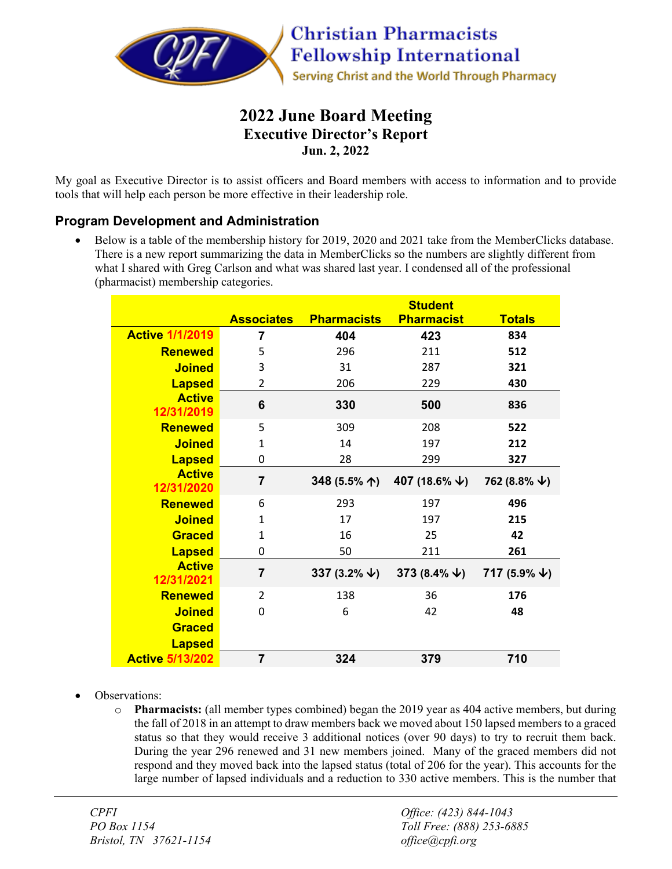

# **2022 June Board Meeting Executive Director's Report Jun. 2, 2022**

My goal as Executive Director is to assist officers and Board members with access to information and to provide tools that will help each person be more effective in their leadership role.

## **Program Development and Administration**

• Below is a table of the membership history for 2019, 2020 and 2021 take from the MemberClicks database. There is a new report summarizing the data in MemberClicks so the numbers are slightly different from what I shared with Greg Carlson and what was shared last year. I condensed all of the professional (pharmacist) membership categories.

|                                |                   |                          | <b>Student</b>            |                          |
|--------------------------------|-------------------|--------------------------|---------------------------|--------------------------|
|                                | <b>Associates</b> | <b>Pharmacists</b>       | <b>Pharmacist</b>         | <b>Totals</b>            |
| <b>Active 1/1/2019</b>         | 7                 | 404                      | 423                       | 834                      |
| <b>Renewed</b>                 | 5                 | 296                      | 211                       | 512                      |
| <b>Joined</b>                  | 3                 | 31                       | 287                       | 321                      |
| <b>Lapsed</b>                  | 2                 | 206                      | 229                       | 430                      |
| <b>Active</b><br>12/31/2019    | 6                 | 330                      | 500                       | 836                      |
| <b>Renewed</b>                 | 5                 | 309                      | 208                       | 522                      |
| <b>Joined</b>                  | $\mathbf{1}$      | 14                       | 197                       | 212                      |
| <b>Lapsed</b>                  | $\Omega$          | 28                       | 299                       | 327                      |
| <b>Active</b><br>12/31/2020    | $\overline{7}$    | 348 (5.5% 个)             | 407 (18.6% $\downarrow$ ) | 762 (8.8% $\downarrow$ ) |
| <b>Renewed</b>                 | 6                 | 293                      | 197                       | 496                      |
| <b>Joined</b>                  | $\mathbf{1}$      | 17                       | 197                       | 215                      |
| <b>Graced</b>                  | $\mathbf{1}$      | 16                       | 25                        | 42                       |
| <b>Lapsed</b>                  | 0                 | 50                       | 211                       | 261                      |
| <b>Active</b><br>12/31/2021    | $\overline{7}$    | 337 (3.2% $\downarrow$ ) | 373 (8.4% $\downarrow$ )  | 717 (5.9% $\downarrow$ ) |
| <b>Renewed</b>                 | $\overline{2}$    | 138                      | 36                        | 176                      |
| <b>Joined</b>                  | $\Omega$          | 6                        | 42                        | 48                       |
| <b>Graced</b><br><b>Lapsed</b> |                   |                          |                           |                          |
| <b>Active 5/13/202</b>         | $\overline{7}$    | 324                      | 379                       | 710                      |

- Observations:
	- o **Pharmacists:** (all member types combined) began the 2019 year as 404 active members, but during the fall of 2018 in an attempt to draw members back we moved about 150 lapsed members to a graced status so that they would receive 3 additional notices (over 90 days) to try to recruit them back. During the year 296 renewed and 31 new members joined. Many of the graced members did not respond and they moved back into the lapsed status (total of 206 for the year). This accounts for the large number of lapsed individuals and a reduction to 330 active members. This is the number that

*CPFI Office: (423) 844-1043 Bristol, TN 37621-1154 office@cpfi.org*

*PO Box 1154 Toll Free: (888) 253-6885*